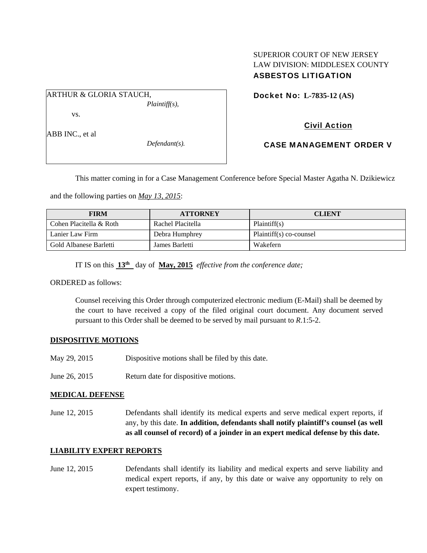## SUPERIOR COURT OF NEW JERSEY LAW DIVISION: MIDDLESEX COUNTY ASBESTOS LITIGATION

ARTHUR & GLORIA STAUCH, *Plaintiff(s),* 

vs.

ABB INC., et al

*Defendant(s).* 

Docket No: **L-7835-12 (AS)** 

# Civil Action

CASE MANAGEMENT ORDER V

This matter coming in for a Case Management Conference before Special Master Agatha N. Dzikiewicz

and the following parties on *May 13, 2015*:

| <b>FIRM</b>             | <b>ATTORNEY</b>   | <b>CLIENT</b>           |
|-------------------------|-------------------|-------------------------|
| Cohen Placitella & Roth | Rachel Placitella | Plaintiff(s)            |
| Lanier Law Firm         | Debra Humphrey    | Plaintiff(s) co-counsel |
| Gold Albanese Barletti  | James Barletti    | Wakefern                |

IT IS on this **13th** day of **May, 2015** *effective from the conference date;*

ORDERED as follows:

Counsel receiving this Order through computerized electronic medium (E-Mail) shall be deemed by the court to have received a copy of the filed original court document. Any document served pursuant to this Order shall be deemed to be served by mail pursuant to *R*.1:5-2.

# **DISPOSITIVE MOTIONS**

- May 29, 2015 Dispositive motions shall be filed by this date.
- June 26, 2015 Return date for dispositive motions.

### **MEDICAL DEFENSE**

June 12, 2015 Defendants shall identify its medical experts and serve medical expert reports, if any, by this date. **In addition, defendants shall notify plaintiff's counsel (as well as all counsel of record) of a joinder in an expert medical defense by this date.** 

### **LIABILITY EXPERT REPORTS**

June 12, 2015 Defendants shall identify its liability and medical experts and serve liability and medical expert reports, if any, by this date or waive any opportunity to rely on expert testimony.